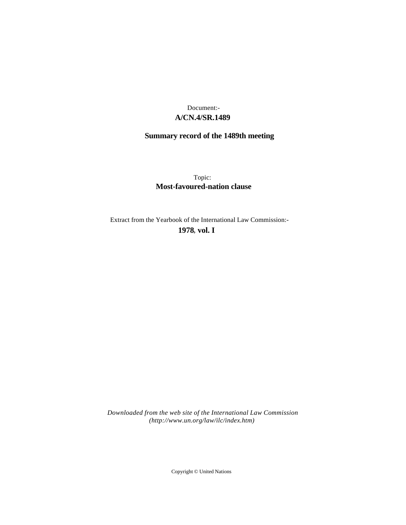## **A/CN.4/SR.1489** Document:-

# **Summary record of the 1489th meeting**

Topic: **Most-favoured-nation clause**

Extract from the Yearbook of the International Law Commission:-

**1978** , **vol. I**

*Downloaded from the web site of the International Law Commission (http://www.un.org/law/ilc/index.htm)*

Copyright © United Nations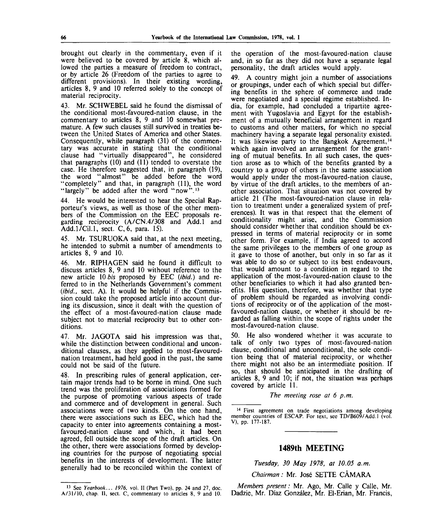brought out clearly in the commentary, even if it were believed to be covered by article 8, which allowed the parties a measure of freedom to contract, or by article 26 (Freedom of the parties to agree to different provisions). In their existing wording, articles 8, 9 and 10 referred solely to the concept of material reciprocity.

43. Mr. SCHWEBEL said he found the dismissal of the conditional most-favoured-nation clause, in the commentary to articles 8, 9 and 10 somewhat premature. A few such clauses still survived in treaties between the United States of America and other States. Consequently, while paragraph (31) of the commentary was accurate in stating that the conditional clause had "virtually disappeared", he considered that paragraphs (10) and (11) tended to overstate the case. He therefore suggested that, in paragraph (19), the word "almost" be added before the word "completely" and that, in paragraph (11), the word "largely" be added after the word "now".<sup>13</sup>

44. He would be interested to hear the Special Rapporteur's views, as well as those of the other members of the Commission on the EEC proposals regarding reciprocity (A/CN.4/308 and Add.l and Add.l/Cil.l, sect. C,6, para. 15).

45. Mr. TSURUOKA said that, at the next meeting, he intended to submit a number of amendments to articles 8, 9 and 10.

46. Mr. RIPHAGEN said he found it difficult to discuss articles 8, 9 and 10 without reference to the new article 10 *bis* proposed by EEC *(ibid.)* and referred to in the Netherlands Government's comment *(ibid.,* sect. A). It would be helpful if the Commission could take the proposed article into account during its discussion, since it dealt with the question of the effect of a most-favoured-nation clause made subject not to material reciprocity but to other conditions.

47. Mr. JAGOTA said his impression was that, while the distinction between conditional and unconditional clauses, as they applied to most-favourednation treatment, had held good in the past, the same could not be said of the future.

48. In prescribing rules of general application, certain major trends had to be borne in mind. One such trend was the proliferation of associations formed for the purpose of promoting various aspects of trade and commerce and of development in general. Such associations were of two kinds. On the one hand, there were associations such as EEC, which had the capacity to enter into agreements containing a mostfavoured-nation clause and which, it had been agreed, fell outside the scope of the draft articles. On the other, there were associations formed by developing countries for the purpose of negotiating special benefits in the interests of development. The latter generally had to be reconciled within the context of

13 See *Yearbook... 1976,* vol. II (Part Two), pp. 24 and 27, doc. A/31/10, chap. II, sect. C, commentary to articles 8, 9 and 10.

the operation of the most-favoured-nation clause and, in so far as they did not have a separate legal personality, the draft articles would apply.

49. A country might join a number of associations or groupings, under each of which special but differing benefits in the sphere of commerce and trade were negotiated and a special regime established. India, for example, had concluded a tripartite agreement with Yugoslavia and Egypt for the establishment of a mutually beneficial arrangement in regard to customs and other matters, for which no special machinery having a separate legal personality existed. It was likewise party to the Bangkok Agreement,  $14$ which again involved an arrangement for the granting of mutual benefits. In all such cases, the question arose as to which of the benefits granted by a country to a group of others in the same association would apply under the most-favoured-nation clause, by virtue of the draft articles, to the members of another association. That situation was not covered by article 21 (The most-favoured-nation clause in relation to treatment under a generalized system of preferences). It was in that respect that the element of conditionality might arise, and the Commission should consider whether that condition should be expressed in terms of material reciprocity or in some other form. For example, if India agreed to accord the same privileges to the members of one group as it gave to those of another, but only in so far as it was able to do so or subject to its best endeavours, that would amount to a condition in regard to the application of the most-favoured-nation clause to the other beneficiaries to which it had also granted benefits. His question, therefore, was whether that type of problem should be regarded as involving conditions of reciprocity or of the application of the mostfavoured-nation clause, or whether it should be regarded as falling within the scope of rights under the most-favoured-nation clause.

50. He also wondered whether it was accurate to talk of only two types of most-favoured-nation clause, conditional and unconditional, the sole condition being that of material reciprocity, or whether there might not also be an intermediate position. If so, that should be anticipated in the drafting of articles 8, 9 and 10; if not, the situation was perhaps covered by article 11.

*meeting rose at 6 p.m.*

<sup>14</sup> First agreement on trade negotiations among developing member countries of ESCAP. For text, see TD/B609/Add.l (vol. V), pp. 177-187.

## **1489th MEETING**

*Tuesday, 30 May 1978, at 10.05 a.m.*

*Chairman:* Mr. Jose SETTE CAMARA

*Members present:* Mr. Ago, Mr. Calle y Calle, Mr. Dadzie, Mr. Diaz Gonzalez, Mr. El-Erian, Mr. Francis,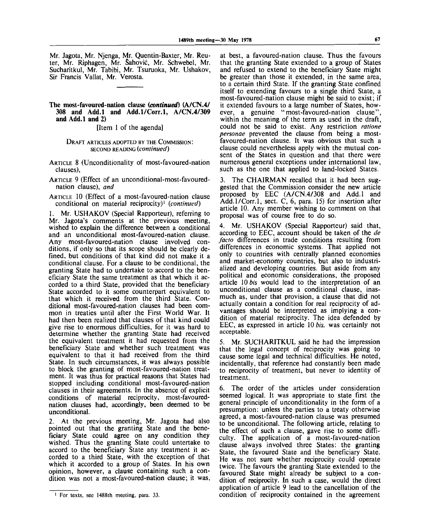Mr. Jagota, Mr. Njenga, Mr. Quentin-Baxter, Mr. Reuter, Mr. Riphagen, Mr. Sahovic, Mr. Schwebel, Mr. Sucharitkul, Mr. Tabibi, Mr. Tsuruoka, Mr. Ushakov, Sir Francis Vallat, Mr. Verosta.

### **The most-favoured-nation clause** *(continued)* **(A/CN.4/ 308 and Add.l and Add.l/Corr.l, A/CN.4/309 and Add.l and 2)**

[Item 1 of the agenda]

#### DRAFT ARTICLES ADOPTED BY THE COMMISSION: SECOND READING *(continued)*

ARTICLE 8 (Unconditionality of most-favoured-nation clauses),

ARTICLE 9 (Effect of an unconditional-most-favourednation clause), *and*

ARTICLE 10 (Effect of a most-favoured-nation clause conditional on material reciprocity)<sup>1</sup>  *(continued)*

1. Mr. USHAKOV (Special Rapporteur), referring to Mr. Jagota's comments at the previous meeting, wished to explain the difference between a conditional and an unconditional most-favoured-nation clause. Any most-favoured-nation clause involved conditions, if only so that its scope should be clearly defined, but conditions of that kind did not make it a conditional clause. For a clause to be conditional, the granting State had to undertake to accord to the beneficiary State the same treatment as that which it accorded to a third State, provided that the beneficiary State accorded to it some counterpart equivalent to that which it received from the third State. Conditional most-favoured-nation clauses had been common in treaties until after the First World War. It had then been realized that clauses of that kind could give rise to enormous difficulties, for it was hard to determine whether the granting State had received the equivalent treatment it had requested from the beneficiary State and whether such treatment was equivalent to that it had received from the third State. In such circumstances, it was always possible to block the granting of most-favoured-nation treatment. It was thus for practical reasons that States had stopped including conditional most-favoured-nation clauses in their agreements. In the absence of explicit conditions of material reciprocity, most-favourednation clauses had, accordingly, been deemed to be unconditional.

2. At the previous meeting, Mr. Jagota had also pointed out that the granting State and the beneficiary State could agree on any condition they wished. Thus the granting State could untertake to accord to the beneficiary State any treatment it accorded to a third State, with the exception of that which it accorded to a group of States. In his own opinion, however, a clause containing such a condition was not a most-favoured-nation clause; it was,

at best, a favoured-nation clause. Thus the favours that the granting State extended to a group of States and refused to extend to the beneficiary State might be greater than those it extended, in the same area, to a certain third State. If the granting State confined itself to extending favours to a single third State, a most-favoured-nation clause might be said to exist; if it extended favours to a large number of States, however, a genuine "most-favoured-nation clause" within the meaning of the term as used in the draft, could not be said to exist. Any restriction *ratione personae* prevented the clause from being a mostfavoured-nation clause. It was obvious that such a clause could nevertheless apply with the mutual consent of the States in question and that there were numerous general exceptions under international law, such as the one that applied to land-locked States.

3. The CHAIRMAN recalled that it had been suggested that the Commission consider the new article proposed by EEC (A/CN.4/308 and Add.l and Add.l/Corr.l, sect. C, 6, para. 15) for insertion after article 10. Any member wishing to comment on that proposal was of course free to do so.

4. Mr. USHAKOV (Special Rapporteur) said that, according to EEC, account should be taken of the *de facto* differences in trade conditions resulting from differences in economic systems. That applied not only to countries with centrally planned economies and market-economy countries, but also to industrialized and developing countries. But aside from any political and economic considerations, the proposed article 10 *bis* would lead to the interpretation of an unconditional clause as a conditional clause, inasmuch as, under that provision, a clause that did not actually contain a condition for real reciprocity of advantages should be interpreted as implying a condition of material reciprocity. The idea defended by EEC, as expressed in article 10 *bis,* was certainly not acceptable.

5. Mr. SUCHARITKUL said he had the impression that the legal concept of reciprocity was going to cause some legal and technical difficulties. He noted, incidentally, that reference had constantly been made to reciprocity of treatment, but never to identity of treatment.

6. The order of the articles under consideration seemed logical. It was appropriate to state first the general principle of unconditionality in the form of a presumption: unless the parties to a treaty otherwise agreed, a most-favoured-nation clause was presumed to be unconditional. The following article, relating to the effect of such a clause, gave rise to some difficulty. The application of a most-favoured-nation clause always involved three States: the granting State, the favoured State and the beneficiary State. He was not sure whether reciprocity could operate twice. The favours the granting State extended to the favoured State might already be subject to a condition of reciprocity. In such a case, would the direct application of article 9 lead to the cancellation of the condition of reciprocity contained in the agreement

<sup>1</sup> For texts, see 1488th meeting, para. 33.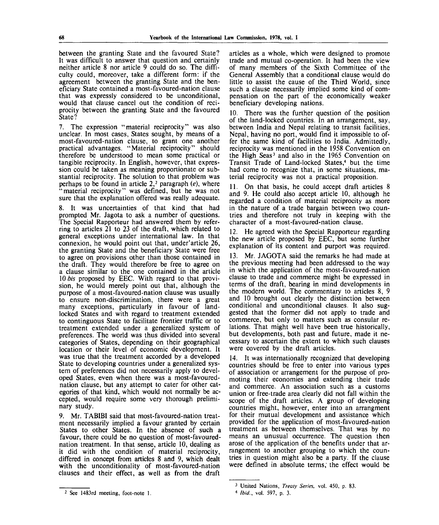between the granting State and the favoured State? It was difficult to answer that question and certainly neither article 8 nor article 9 could do so. The difficulty could, moreover, take a different form: if the agreement between the granting State and the beneficiary State contained a most-favoured-nation clause that was expressly considered to be unconditional, would that clause cancel out the condition of reciprocity between the granting State and the favoured State?

7. The expression "material reciprocity" was also unclear. In most cases, States sought, by means of a most-favoured-nation clause, to grant one another practical advantages. "Material reciprocity" should therefore be understood to mean some practical or tangible reciprocity. In English, however, that expression could be taken as meaning proportionate or substantial reciprocity. The solution to that problem was perhaps to be found in article 2,<sup>2</sup> paragraph *(e),* where "material reciprocity" was defined, but he was not sure that the explanation offered was really adequate.

8. It was uncertainties of that kind that had prompted Mr. Jagota to ask a number of questions. The Special Rapporteur had answered them by referring to articles 21 to 23 of the draft, which related to general exceptions under international law. In that connexion, he would point out that, under'article 26, the granting State and the beneficiary State were free to agree on provisions other than those contained in the draft. They would therefore be free to agree on a clause similar to the one contained in the article 10 *bis* proposed by EEC. With regard to that provision, he would merely point out that, although the purpose of a most-favoured-nation clause was usually to ensure non-discrimination, there were a great many exceptions, particularly in favour of landlocked States and with regard to treatment extended to continguous State to facilitate frontier traffic or to treatment extended under a generalized system of preferences. The world was thus divided into several categories of States, depending on their geographical location or their level of economic development. It was true that the treatment accorded by a developed State to developing countries under a generalized system of preferences did not necessarily apply to developed States, even when there was a most-favourednation clause, but any attempt to cater for other categories of that kind, which would not normally be accepted, would require some very thorough preliminary study.

9. Mr. TABIBI said that most-favoured-nation treatment necessarily implied a favour granted by certain States to other States. In the absence of such a favour, there could be no question of most-favourednation treatment. In that sense, article 10, dealing as it did with the condition of material reciprocity, differed in concept from articles 8 and 9, which dealt with the unconditionality of most-favoured-nation clauses and their effect, as well as from the draft

**See 1483rd meeting, foot-note 1.**

articles as a whole, which were designed to promote trade and mutual co-operation. It had been the view of many members of the Sixth Committee of the General Assembly that a conditional clause would do little to assist the cause of the Third World, since such a clause necessarily implied some kind of compensation on the part of the economically weaker beneficiary developing nations.

10. There was the further question of the position of the land-locked countries. In an arrangement, say, between India and Nepal relating to transit facilities, Nepal, having no port, would find it impossible to offer the same kind of facilities to India. Admittedly, reciprocity was mentioned in the 1958 Convention on the High Seas<sup>3</sup> and also in the 1965 Convention or Transit Trade of Land-locked States,<sup>4</sup> but the time had come to recognize that, in some situations, material reciprocity was not a practical proposition.

11. On that basis, he could accept draft articles 8 and 9. He could also accept article 10, although he regarded a condition of material reciprocity as more in the nature of a trade bargain between two countries and therefore not truly in keeping with the character of a most-favoured-nation clause.

12. He agreed with the Special Rapporteur regarding the new article proposed by EEC, but some further explanation of its content and purport was required.

13. Mr. JAGOTA said the remarks he had made at the previous meeting had been addressed to the way in which the application of the most-favoured-nation clause to trade and commerce might be expressed in terms of the draft, bearing in mind developments in the modern world. The commentary to articles 8, 9 and 10 brought out clearly the distinction between conditional and unconditional clauses. It also suggested that the former did not apply to trade and commerce, but only to matters such as consular relations. That might well have been true historically, but developments, both past and future, made it necessary to ascertain the extent to which such clauses were covered by the draft articles.

14. It was internationally recognized that developing countries should be free to enter into various types of association or arrangement for the purpose of promoting their economies and extending their trade and commerce. An association such as a customs union or free-trade area clearly did not fall within the scope of the draft articles. A group of developing countries might, however, enter into an arrangment for their mutual development and assistance which provided for the application of most-favoured-nation treatment as between themselves. That was by no means an unusual occurrence. The question then arose of the application of the benefits under that arrangement to another grouping to which the countries in question might also be a party. If the clause were defined in absolute terms, the effect would be

<sup>3</sup>  **United** Nations, *Treaty Series,* vol. 450, p. 83.

<sup>4</sup>  *Ibid.,* vol. 597, p. 3.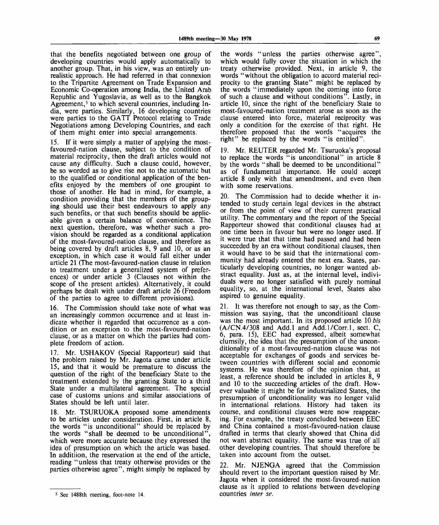that the benefits negotiated between one group of developing countries would apply automatically to another group. That, in his view, was an entirely unrealistic approach. He had referred in that connexion to the Tripartite Agreement on Trade Expansion and Economic Co-operation among India, the United Arab Republic and Yugoslavia, as well as to the Bangkok Agreement, $<sup>5</sup>$  to which several countries, including In-</sup> dia, were parties. Similarly, 16 developing countries were parties to the GATT Protocol relating to Trade Negotiations among Developing Countries, and each of them might enter into special arrangements.

15. If it were simply a matter of applying the mostfavoured-nation clause, subject to the condition of material reciprocity, then the draft articles would not cause any difficulty. Such a clause could, however, be so worded as to give rise not to the automatic but to the qualified or conditional application of the benefits enjoyed by the members of one groupint to those of another. He had in mind, for example, a condition providing that the members of the grouping should use their best endeavours to apply any such benefits, or that such benefits should be applicable given a certain balance of convenience. The next question, therefore, was whether such a provision should be regarded as a conditional application of the most-favoured-nation clause, and therefore as being covered by draft articles 8, 9 and 10, or as an exception, in which case it would fall either under article 21 (The most-favoured-nation clause in relation to treatment under a generalized system of preferences) or under article 3 (Clauses not within the scope of the present articles). Alternatively, it could perhaps be dealt with under draft article 26 (Freedom of the parties to agree to different provisions).

16. The Commission should take note of what was an increasingly common occurrence and at least indicate whether it regarded that occurrence as a condition or an exception to the most-favoured-nation clause, or as a matter on which the parties had complete freedom of action.

17. Mr. USHAKOV (Special Rapporteur) said that the problem raised by Mr. Jagota came under article 15, and that it would be premature to discuss the question of the right of the beneficiary State to the treatment extended by the granting State to a third State under a multilateral agreement. The special case of customs unions and similar associations of States should be left until later.

18. Mr. TSURUOKA proposed some amendments to be articles under consideration. First, in article 8, the words "is unconditional" should be replaced by the words "shall be deemed to be unconditional", which were more accurate because they expressed the idea of presumption on which the article was based. In additiion, the reservation at the end of the article, reading "unless that treaty otherwise provides or the parties otherwise agree", might simply be replaced by

the words "unless the parties otherwise agree", which would fully cover the situation in which the treaty otherwise provided. Next, in article 9, the words "without the obligation to accord material reciprocity to the granting State" might be replaced by the words "immediately upon the coming into force of such a clause and without conditions". Lastly, in article 10, since the right of the beneficiary State to most-favoured-nation treatment arose as soon as the clause entered into force, material reciprocity was only a condition for the exercise of that right. He therefore proposed that the words "acquires the right" be replaced by the words "is entitled".

19. Mr. REUTER regarded Mr. Tsuruoka's proposal to replace the words "is unconditional" in article 8 by the words "shall be deemed to be unconditional" as of fundamental importance. He could accept article 8 only with that amendment, and even then with some reservations.

20. The Commission had to decide whether it intended to study certain legal devices in the abstract or from the point of view of their current practical utility. The commentary and the report of the Special Rapporteur showed that conditional clauses had at one time been in favour but were no longer used. If it were true that that time had passed and had been succeeded by an era without conditional clauses, then it would have to be said that the international community had already entered the next era. States, particularly developing countries, no longer wanted abstract equality. Just as, at the internal level, individuals were no longer satisfied with purely nominal equality, so, at the international level, States also aspired to genuine equality.

21. It was therefore not enough to say, as the Commission was saying, that the unconditioanl clause was the most important. In its proposed article 10 *bis* (A/CN.4/308 and Add.l and Add.l/Corr.l, sect. C, 6, para. 15), EEC had expressed, albeit somewhat clumsily, the idea that the presumption of the unconditionality of a most-favoured-nation clause was not acceptable for exchanges of goods and services between countries with different social and economic systems. He was therefore of the opinion that, at least, a reference should be included in articles 8, 9 and 10 to the succeeding articles of the draft. However valuable it might be for industrialized States, the presumption of unconditionality was no longer valid in international relations. History had taken its course, and conditional clauses were now reappearing. For example, the treaty concluded between EEC and China contained a most-favoured-nation clause drafted in terms that clearly showed that China did not want abstract equality. The same was true of all other developing countries. That should therefore be taken into account from the outset.

22. Mr. NJENGA agreed that the Commission should revert to the important question raised by Mr. Jagota when it considered the most-favoured-nation clause as it applied to relations between developing countries *inter se.*

<sup>&</sup>lt;sup>5</sup> See 1488th meeting, foot-note 14.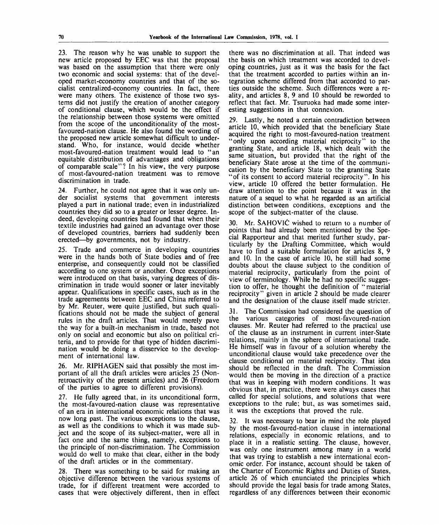23. The reason why he was unable to support the new article proposed by EEC was that the proposal was based on the assumption that there were only two economic and social systems: that of the developed market-economy countries and that of the socialist centralized-economy countries. In fact, there were many others. The existence of those two systems did not justify the creation of another category of conditional clause, which would be the effect if the relationship between those systems were omitted from the scope of the unconditionality of the mostfavoured-nation clause. He also found the wording of the proposed new article somewhat difficult to understand. Who, for instance, would decide whether most-favoured-nation treatment would lead to "an equitable distribution of advantages and obligations of comparable scale"? In his view, the very purpose of most-favoured-nation treatment was to remove discrimination in trade.

24. Further, he could not agree that it was only under socialist systems that government interests played a part in national trade; even in industrialized countries they did so to a greater or lesser degree. Indeed, developing countries had found that when their textile industries had gained an advantage over those of developed countries, barriers had suddenly been erected—by governments, not by industry.

25. Trade and commerce in developing countries were in the hands both of State bodies and of free enterprise, and consequently could not be classified according to one system or another. Once exceptions were introduced on that basis, varying degrees of discrimination in trade would sooner or later inevitably appear. Qualifications in specific cases, such as in the trade agreements between EEC and China referred to by Mr. Reuter, were quite justified, but such qualifications should not be made the subject of general rules in the draft articles. That would merely pave the way for a built-in mechanism in trade, based not only on social and economic but also on political criteria, and to provide for that type of hidden discrimination would be doing a disservice to the development of international law.

26. Mr. RIPHAGEN said that possibly the most important of all the draft articles were articles 25 (Nonretroactivity of the present articles) and 26 (Freedom of the parties to agree to different provisions).

27. He fully agreed that, in its unconditional form, the most-favoured-nation clause was representative of an era in international economic relations that was now long past. The various exceptions to the clause, as well as the conditions to which it was made subject and the scope of its subject-matter, were all in fact one and the same thing, namely, exceptions to the principle of non-discrimination. The Commission would do well to make that clear, either in the body of the draft articles or in the commentary.

28. There was something to be said for making an objective difference between the various systems of trade, for if different treatment were accorded to cases that were objectively different, then in effect

there was no discrimination at all. That indeed was the basis on which treatment was accorded to developing countries, just as it was the basis for the fact that the treatment accorded to parties within an integration scheme differed from that accorded to parties outside the scheme. Such differences were a reality, and articles 8, 9 and 10 should be reworded to reflect that fact. Mr. Tsuruoka had made some interesting suggestions in that connexion.

29. Lastly, he noted a certain contradiction between article 10, which provided that the beneficiary State acquired the right to most-favoured-nation treatment "only upon according material reciprocity" to the granting State, and article 18, which dealt with the same situation, but provided that the right of the beneficiary State arose at the time of the communication by the beneficiary State to the granting State "of its consent to accord material reciprocity". In his view, article 10 offered the better formulation. He draw attention to the point because it was in the nature of a sequel to what he regarded as an artificial distinction between conditions, exceptions and the scope of the subject-matter of the clause.

30. Mr. SAHOVIC wished to return to a number of points that had already been mentioned by the Special Rapporteur and that merited further study, particularly by the Drafting Committee, which would have to find a suitable formulation for articles 8, 9 and 10. In the case of article 10, he still had some doubts about the clause subject to the condition of material reciprocity, particularly from the point of view of terminology. While he had no specific suggestion to offer, he thought the definition of " material reciprocity" given in article 2 should be made clearer and the designation of the clause itself made stricter.

31. The Commission had considered the question of the various categories of most-favoured-nation clauses. Mr. Reuter had referred to the practical use of the clause as an instrument in current inter-State relations, mainly in the sphere of international trade. He himself was in favour of a solution whereby the unconditional clause would take precedence over the clause conditional on material reciprocity. That idea should be reflected in the draft. The Commission would then be moving in the direction of a practice that was in keeping with modern conditions. It was obvious that, in practice, there were always cases that called for special solutions, and solutions that were exceptions to the rule; but, as was sometimes said, it was the exceptions that proved the rule.

32. It was necessary to bear in mind the role played by the most-favoured-nation clause in international relations, especially in economic relations, and to place it in a realistic setting. The clause, however, was only one instrument among many in a world that was trying to establish a new international economic order. For instance, account should be taken of the Charter of Economic Rights and Duties of States, article 26 of which enunciated the principles which should provide the legal basis for trade among States, regardless of any differences between their economic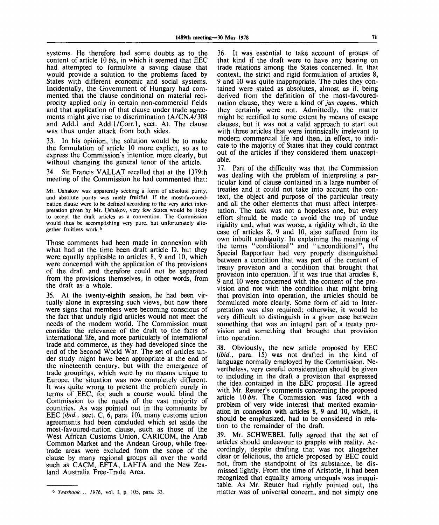systems. He therefore had some doubts as to the content of article 10 *bis,* in which it seemed that EEC had attempted to formulate a saving clause that would provide a solution to the problems faced by States with different economic and social systems. Incidentally, the Government of Hungary had commented that the clause conditional on material reciprocity applied only in certain non-commercial fields and that application of that clause under trade agreements might give rise to discrimination (A/CN.4/308 and Add.l and Add.l/Corr.l, sect. A). The clause was thus under attack from both sides.

33. In his opinion, the solution would be to make the formulation of article 10 more explicit, so as to express the Commission's intention more clearly, but without changing the general tenor of the article.

34. Sir Francis VALLAT recalled that at the 1379th meeting of the Commission he had commented that:

Mr. Ushakov was apparently seeking a form of absolute purity, and absolute purity was rarely fruitful. If the most-favourednation clause were to be defined according to the very strict interpretation given by Mr. Ushakov, very few States would be likely to accept the draft articles as a convention. The Commission would thus be accomplishing very pure, but unfortunately altogether fruitless work.<sup>6</sup>

Those comments had been made in connexion with what had at the time been draft article D, but they were equally applicable to articles 8, 9 and 10, which were concerned with the application of the provisions of the draft and therefore could not be separated from the provisions themselves, in other words, from the draft as a whole.

35. At the twenty-eighth session, he had been virtually alone in expressing such views, but now there were signs that members were becoming conscious of the fact that unduly rigid articles would not meet the needs of the modern world. The Commission must consider the relevance of the draft to the facts of international life, and more particularly of international trade and commerce, as they had developed since the end of the Second World War. The set of articles under study might have been appropriate at the end of the nineteenth century, but with the emergence of trade groupings, which were by no means unique to Europe, the situation was now completely different. It was quite wrong to present the problem purely in terms of EEC, for such a course would blind the Commission to the needs of the vast majority of countries. As was pointed out in the comments by EEC *(ibid.,* sect. C, 6, para. 10), many customs union agreements had been concluded which set aside the most-favoured-nation clause, such as those of the West African Customs Union, CARICOM, the Arab Common Market and the Andean Group, while freetrade areas were excluded from the scope of the clause by many regional groups all over the world such as CACM, EFTA, LAFTA and the New Zealand Australia Free-Trade Area.

36. It was essential to take account of groups of that kind if the draft were to have any bearing on trade relations among the States concerned. In that context, the strict and rigid formulation of articles 8, 9 and 10 was quite inappropriate. The rules they contained were stated as absolutes, almost as if, being derived from the definition of the most-favourednation clause, they were a kind of *jus cogens,* which they certainly were not. Admittedly, the matter might be rectified to some extent by means of escape clauses, but it was not a valid approach to start out with three articles that were intrinsically irrelevant to modern commercial life and then, in effect, to indicate to the majority of States that they could contract out of the articles if they considered them unacceptable.

37. Part of the difficulty was that the Commission was dealing with the problem of interpreting a particular kind of clause contained in a large number of treaties and it could not take into account the context, the object and purpose of the particular treaty and all the other elements that must affect interpretation. The task was not a hopeless one, but every effort should be made to avoid the trap of undue rigidity and, what was worse, a rigidity which, in the case of articles 8, 9 and 10, also suffered from its own inbuilt ambiguity. In explaining the meaning of the terms "conditional" and "unconditional", the Special Rapporteur had very properly distinguished between a condition that was part of the content of treaty provision and a condition that brought that provision into operation. If it was true that articles 8, 9 and 10 were concerned with the content of the provision and not with the condition that might bring that provision into operation, the articles should be formulated more clearly. Some form of aid to interpretation was also required; otherwise, it would be very difficult to distinguish in a given case between something that was an integral part of a treaty provision and something that brought that provision into operation.

38. Obviously, the new article proposed by EEC *(ibid.,* para. 15) was not drafted in the kind of language normally employed by the Commission. Nevertheless, very careful consideration should be given to including in the draft a provision that expressed the idea contained in the EEC proposal. He agreed with Mr. Reuter's comments concerning the proposed article 10 *bis.* The Commission was faced with a problem of very wide interest that merited examination in connexion with articles 8, 9 and 10, which, it should be emphasized, had to be considered in relation to the remainder of the draft.

39. Mr. SCHWEBEL fully agreed that the set of articles should endeavour to grapple with reality. Accordingly, despite drafting that was not altogether clear or felicitous, the article proposed by EEC could not, from the standpoint of its substance, be dismissed lightly. From the time of Aristotle, it had been recognized that equality among unequals was inequitable. As Mr. Reuter had rightly pointed out, the matter was of universal concern, and not simply one

*Yearbook... 1976,* vol. I, p. 105, para. 33.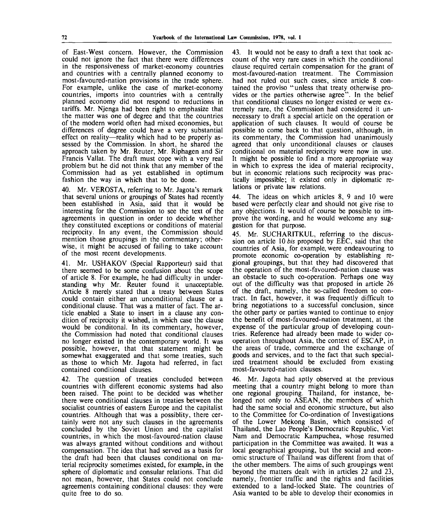of East-West concern. However, the Commission could not ignore the fact that there were differences in the responsiveness of market-economy countries and countries with a centrally planned economy to most-favoured-nation provisions in the trade sphere. For example, unlike the case of market-economy countries, imports into countries with a centrally planned economy did not respond to reductions in tariffs. Mr. Njenga had been right to emphasize that the matter was one of degree and that the countries of the modern world often had mixed economies, but differences of degree could have a very substantial effect on reality—reality which had to be properly assessed by the Commission. In short, he shared the approach taken by Mr. Reuter, Mr. Riphagen and Sir Francis Vallat. The draft must cope with a very real problem but he did not think that any member of the Commission had as yet established in optimum fashion the way in which that to be done.

40. Mr. VEROSTA, referring to Mr. Jagota's remark that several unions or groupings of States had recently been established in Asia, said that it would be interesting for the Commission to see the text of the agreements in question in order to decide whether they constituted exceptions or conditions of material reciprocity. In any event, the Commission should mention those groupings in the commentary; otherwise, it might be accused of failing to take account of the most recent developments.

41. Mr. USHAKOV (Special Rapporteur) said that there seemed to be some confusion about the scope of article 8. For example, he had difficulty in understanding why Mr. Reuter found it unacceptable. Article 8 merely stated that a treaty between States could contain either an unconditional clause or a conditional clause. That was a matter of fact. The article enabled a State to insert in a clause any condition of reciprocity it wished, in which case the clause would be conditonal. In its commentary, however, the Commission had noted that conditional clauses no longer existed in the contemporary world. It was possible, however, that that statement might be somewhat exaggerated and that some treaties, such as those to which Mr. Jagota had referred, in fact contained conditional clauses.

42. The question of treaties concluded between countries with different economic systems had also been raised. The point to be decided was whether there were conditional clauses in treaties between the socialist countries of eastern Europe and the capitalist countries. Although that was a possiblity, there certainly were not any such clauses in the agreements concluded by the Soviet Union and the capitalist countries, in which the most-favoured-nation clause was always granted without conditions and without compensation. The idea that had served as a basis for the draft had been that clauses conditional on material reciprocity sometimes existed, for example, in the sphere of diplomatic and consular relations. That did not mean, however, that States could not conclude agreements containing conditional clauses: they were quite free to do so.

43. It would not be easy to draft a text that took account of the very rare cases in which the conditional clause required certain compensation for the grant of most-favoured-nation treatment. The Commission had not ruled out such cases, since article 8 contained the proviso " unless that treaty otherwise provides or the parties otherwise agree". In the belief that conditional clauses no longer existed or were extremely rare, the Commission had considered it unnecessary to draft a special article on the operation or application of such clauses. It would of course be possible to come back to that question, although, in its commentary, the Commission had unanimously agreed that only unconditional clauses or clauses conditional on material reciprocity were now in use. It might be possible to find a more appropriate way in which to express the idea of material reciprocity, but in economic relations such reciprocity was practically impossible; it existed only in diplomatic relations or private law relations.

44. The ideas on which articles 8, 9 and 10 were based were perfectly clear and should not give rise to any objections. It would of course be possible to improve the wording, and he would welcome any suggestion for that purpose.

45. Mr. SUCHARITKUL, referring to the discussion on article 10 *bis* proposed by EEC, said that the countries of Asia, for example, were endeavouring to promote economic co-operation by establishing regional groupings, but that they had discovered that the operation of the most-favoured-nation clause was an obstacle to such co-operation. Perhaps one way out of the difficulty was that proposed in article 26 of the draft, namely, the so-called freedom to contract. In fact, however, it was frequently difficult to bring negotiations to a successful conclusion, since the other party or parties wanted to continue to enjoy the benefit of most-favoured-nation treatment, at the expense of the particular group of developing countries. Reference had already been made to wider cooperation throughout Asia, the context of ESCAP, in the areas of trade, commerce and the exchange of goods and services, and to the fact that such specialized treatment should be excluded from existing most-favoured-nation clauses.

46. Mr. Jagota had aptly observed at the previous meeting that a country might belong to more than one regional grouping. Thailand, for instance, belonged not only to ASEAN, the members of which had the same social and economic structure, but also to the Committee for Co-ordination of Investigations of the Lower Mekong Basin, which consisted of Thailand, the Lao People's Democratic Republic, Viet Nam and Democratic Kampuchea, whose resumed participation in the Committee was awaited. It was a local geographical grouping, but the social and economic structure of Thailand was different from that of the other members. The aims of such groupings went beyond the matters dealt with in articles 22 and 23, namely, frontier traffic and the rights and facilities extended to a land-locked State. The countries of Asia wanted to be able to develop their economies in